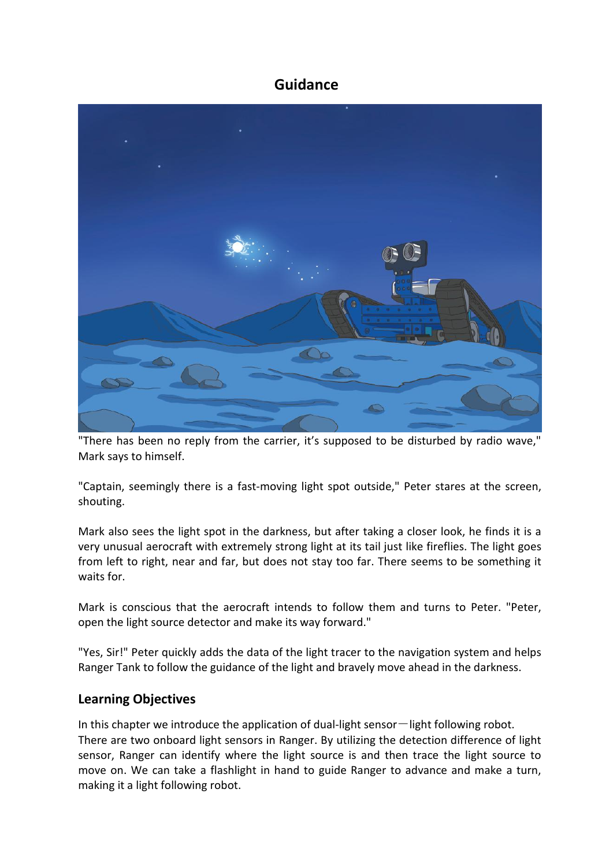### **Guidance**



"There has been no reply from the carrier, it's supposed to be disturbed by radio wave," Mark says to himself.

"Captain, seemingly there is a fast-moving light spot outside," Peter stares at the screen, shouting.

Mark also sees the light spot in the darkness, but after taking a closer look, he finds it is a very unusual aerocraft with extremely strong light at its tail just like fireflies. The light goes from left to right, near and far, but does not stay too far. There seems to be something it waits for.

Mark is conscious that the aerocraft intends to follow them and turns to Peter. "Peter, open the light source detector and make its way forward."

"Yes, Sir!" Peter quickly adds the data of the light tracer to the navigation system and helps Ranger Tank to follow the guidance of the light and bravely move ahead in the darkness.

#### **Learning Objectives**

In this chapter we introduce the application of dual-light sensor-light following robot. There are two onboard light sensors in Ranger. By utilizing the detection difference of light sensor, Ranger can identify where the light source is and then trace the light source to move on. We can take a flashlight in hand to guide Ranger to advance and make a turn, making it a light following robot.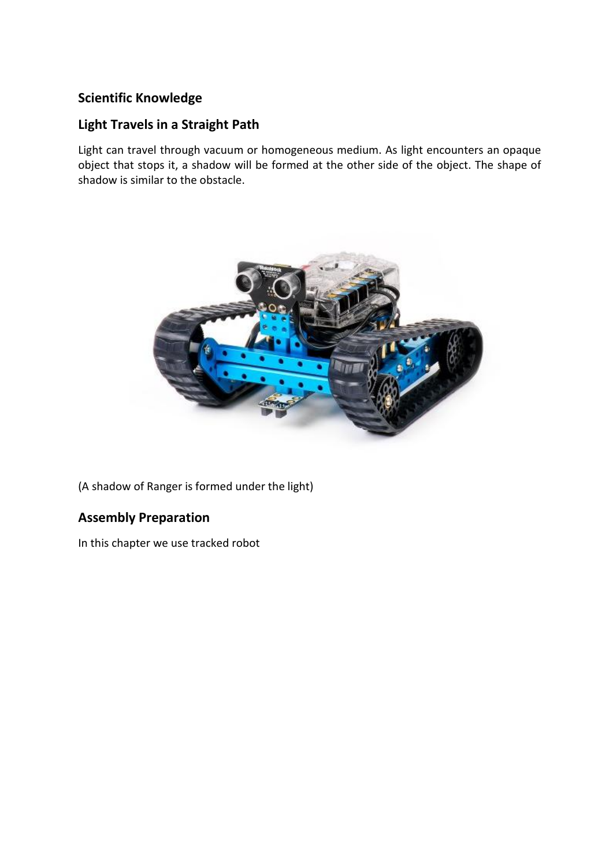# **Scientific Knowledge**

## **Light Travels in a Straight Path**

Light can travel through vacuum or homogeneous medium. As light encounters an opaque object that stops it, a shadow will be formed at the other side of the object. The shape of shadow is similar to the obstacle.



(A shadow of Ranger is formed under the light)

## **Assembly Preparation**

In this chapter we use tracked robot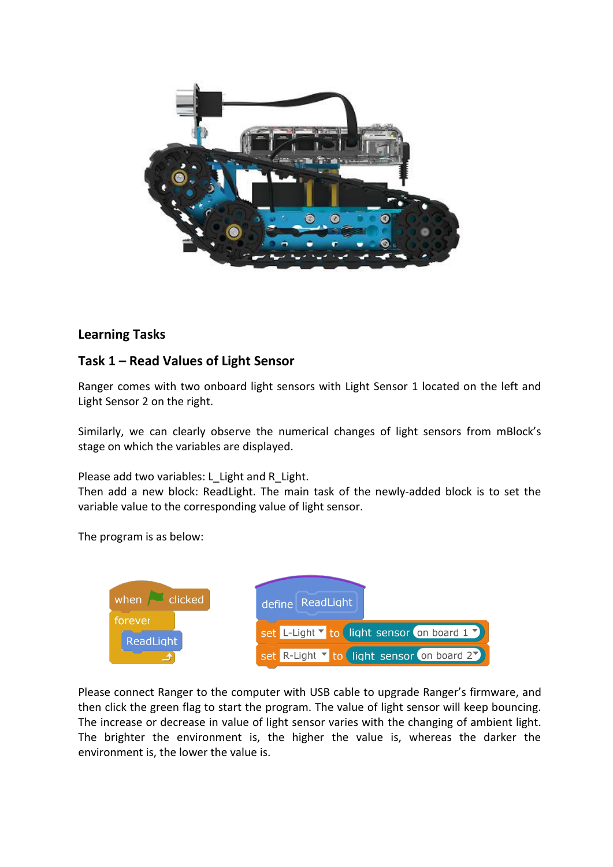

#### **Learning Tasks**

#### **Task 1 – Read Values of Light Sensor**

Ranger comes with two onboard light sensors with Light Sensor 1 located on the left and Light Sensor 2 on the right.

Similarly, we can clearly observe the numerical changes of light sensors from mBlock's stage on which the variables are displayed.

Please add two variables: L\_Light and R\_Light.

Then add a new block: ReadLight. The main task of the newly-added block is to set the variable value to the corresponding value of light sensor.

The program is as below:



Please connect Ranger to the computer with USB cable to upgrade Ranger's firmware, and then click the green flag to start the program. The value of light sensor will keep bouncing. The increase or decrease in value of light sensor varies with the changing of ambient light. The brighter the environment is, the higher the value is, whereas the darker the environment is, the lower the value is.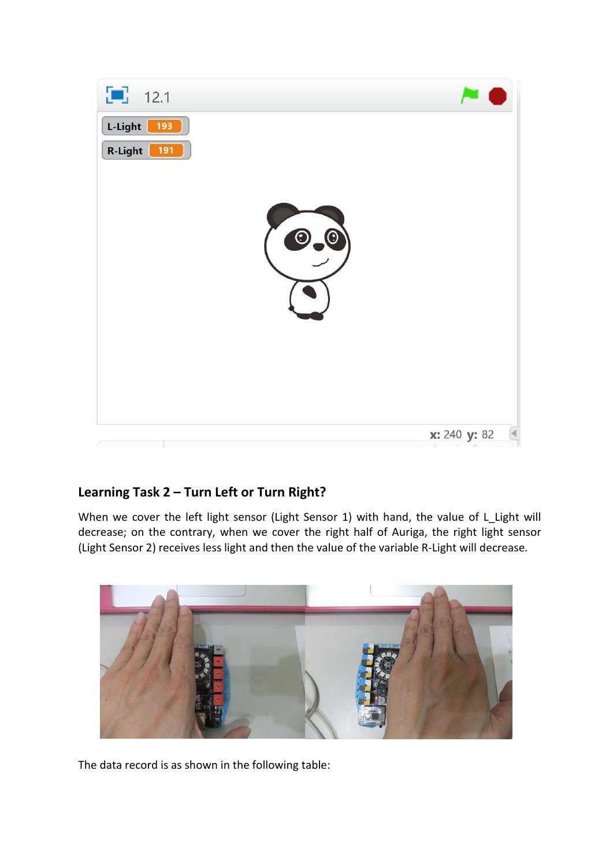

## **Learning Task 2 – Turn Left or Turn Right?**

When we cover the left light sensor (Light Sensor 1) with hand, the value of L\_Light will decrease; on the contrary, when we cover the right half of Auriga, the right light sensor (Light Sensor 2) receives less light and then the value of the variable R-Light will decrease.



The data record is as shown in the following table: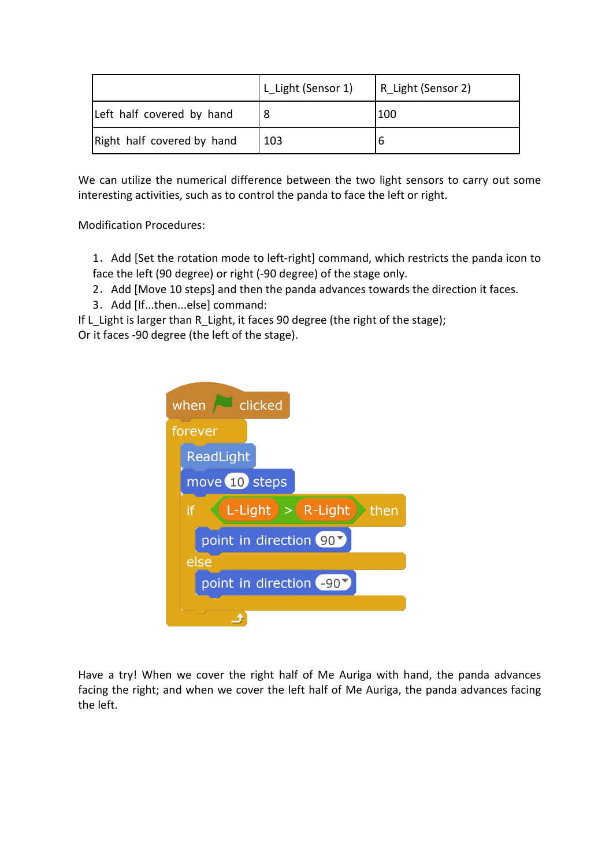|                            | L Light (Sensor 1) | R Light (Sensor 2) |
|----------------------------|--------------------|--------------------|
| Left half covered by hand  |                    | 100                |
| Right half covered by hand | 103                |                    |

We can utilize the numerical difference between the two light sensors to carry out some interesting activities, such as to control the panda to face the left or right.

Modification Procedures:

1. Add [Set the rotation mode to left-right] command, which restricts the panda icon to face the left (90 degree) or right (-90 degree) of the stage only.

- 2. Add [Move 10 steps] and then the panda advances towards the direction it faces.
- 3. Add [If...then...else] command:

If L Light is larger than R Light, it faces 90 degree (the right of the stage); Or it faces -90 degree (the left of the stage).

| when dicked                                                                           |
|---------------------------------------------------------------------------------------|
| forever                                                                               |
| ReadLight                                                                             |
| move 10 steps                                                                         |
| $\left($ L-Light $\right)$ $>$ $\left($ R-Light $\right)$<br>if<br>$\rightarrow$ then |
| point in direction 90                                                                 |
| else                                                                                  |
| point in direction (-90)                                                              |
|                                                                                       |

Have a try! When we cover the right half of Me Auriga with hand, the panda advances facing the right; and when we cover the left half of Me Auriga, the panda advances facing the left.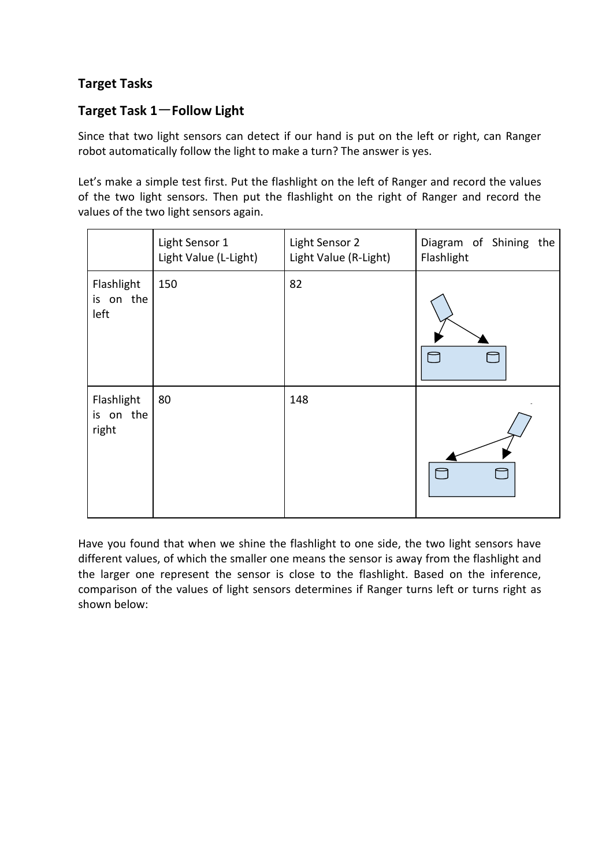### **Target Tasks**

## **Target Task 1**-**Follow Light**

Since that two light sensors can detect if our hand is put on the left or right, can Ranger robot automatically follow the light to make a turn? The answer is yes.

Let's make a simple test first. Put the flashlight on the left of Ranger and record the values of the two light sensors. Then put the flashlight on the right of Ranger and record the values of the two light sensors again.

|                                  | Light Sensor 1<br>Light Value (L-Light) | Light Sensor 2<br>Light Value (R-Light) | Diagram of Shining the<br>Flashlight |
|----------------------------------|-----------------------------------------|-----------------------------------------|--------------------------------------|
| Flashlight<br>is on the<br>left  | 150                                     | 82                                      | $\Box$<br>$\Box$                     |
| Flashlight<br>is on the<br>right | 80                                      | 148                                     | $\Box$<br>$\Box$                     |

Have you found that when we shine the flashlight to one side, the two light sensors have different values, of which the smaller one means the sensor is away from the flashlight and the larger one represent the sensor is close to the flashlight. Based on the inference, comparison of the values of light sensors determines if Ranger turns left or turns right as shown below: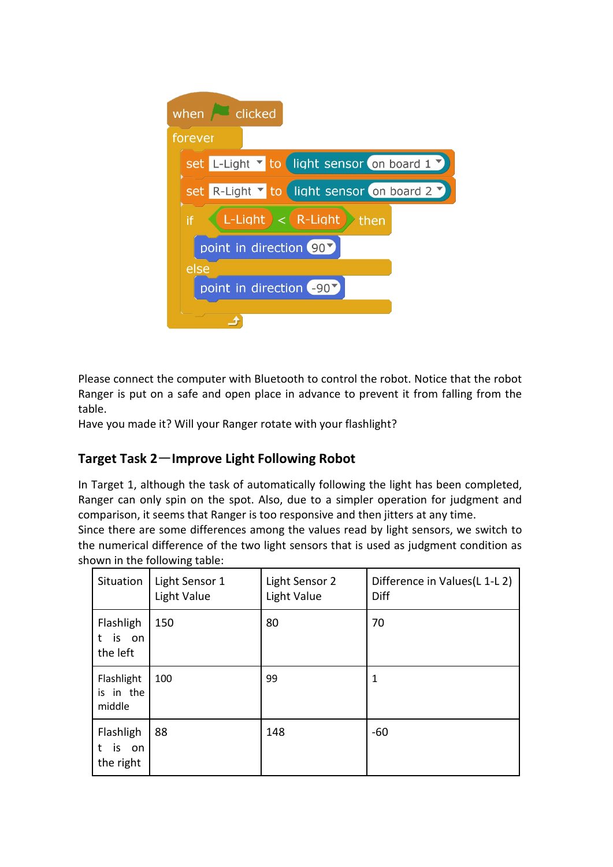

Please connect the computer with Bluetooth to control the robot. Notice that the robot Ranger is put on a safe and open place in advance to prevent it from falling from the table.

Have you made it? Will your Ranger rotate with your flashlight?

## **Target Task 2**-**Improve Light Following Robot**

In Target 1, although the task of automatically following the light has been completed, Ranger can only spin on the spot. Also, due to a simpler operation for judgment and comparison, it seems that Ranger is too responsive and then jitters atany time.

Since there are some differences among the values read by light sensors, we switch to the numerical difference of the two light sensors that is used as judgment condition as shown in the following table:

| Situation                             | Light Sensor 1<br>Light Value | Light Sensor 2<br>Light Value | Difference in Values (L 1-L 2)<br>Diff |
|---------------------------------------|-------------------------------|-------------------------------|----------------------------------------|
| Flashligh<br>is on<br>t.<br>the left  | 150                           | 80                            | 70                                     |
| Flashlight<br>is in the<br>middle     | 100                           | 99                            | $\mathbf{1}$                           |
| Flashligh<br>is on<br>t.<br>the right | 88                            | 148                           | $-60$                                  |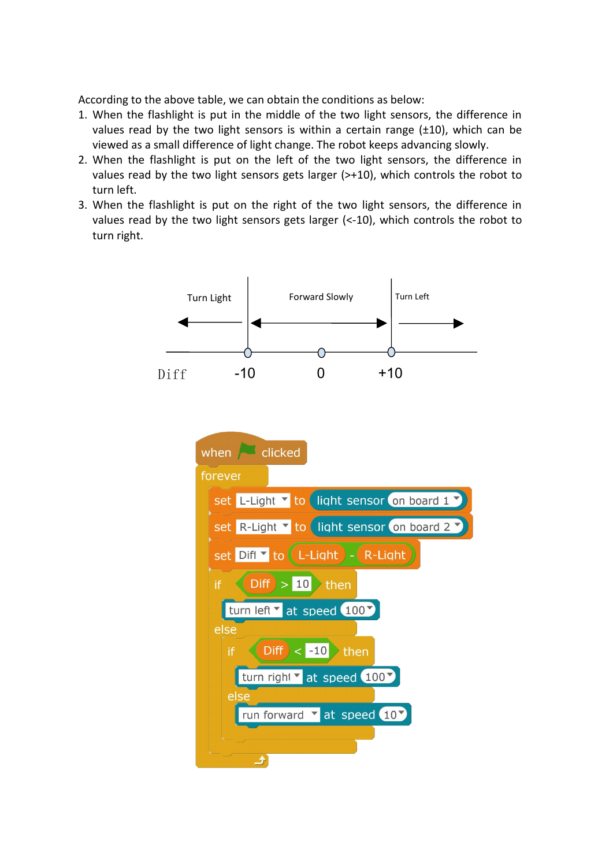According to the above table, we can obtain the conditions as below:

- 1. When the flashlight is put in the middle of the two light sensors, the difference in values read by the two light sensors is within a certain range  $(\pm 10)$ , which can be viewed as a small difference of light change. The robot keeps advancing slowly.
- 2. When the flashlight is put on the left of the two light sensors, the difference in values read by the two light sensors gets larger (>+10), which controls the robot to turn left.
- 3. When the flashlight is put on the right of the two light sensors, the difference in values read by the two light sensors gets larger (<-10), which controls the robot to turn right.

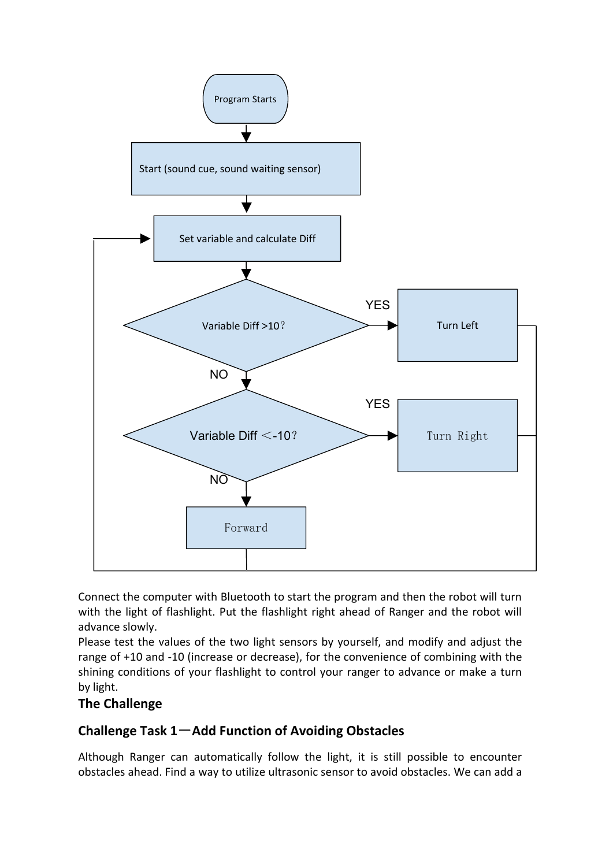

Connect the computer with Bluetooth to start the program and then the robot will turn with the light of flashlight. Put the flashlight right ahead of Ranger and the robot will advance slowly.

Please test the values of the two light sensors by yourself, and modify and adjust the range of +10 and -10 (increase or decrease), for the convenience of combining with the shining conditions of your flashlight to control your ranger to advance or make a turn by light.

#### **The Challenge**

#### **Challenge Task 1**-**Add Function of Avoiding Obstacles**

Although Ranger can automatically follow the light, it is still possible to encounter obstacles ahead. Find a way to utilize ultrasonic sensor to avoid obstacles. We can add a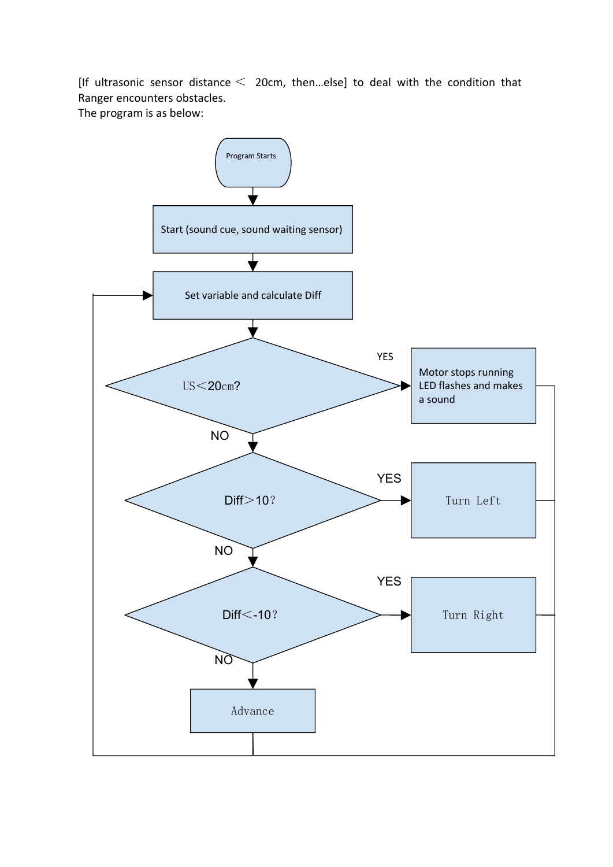[If ultrasonic sensor distance  $\leq$  20cm, then...else] to deal with the condition that Ranger encounters obstacles.

The program is as below:

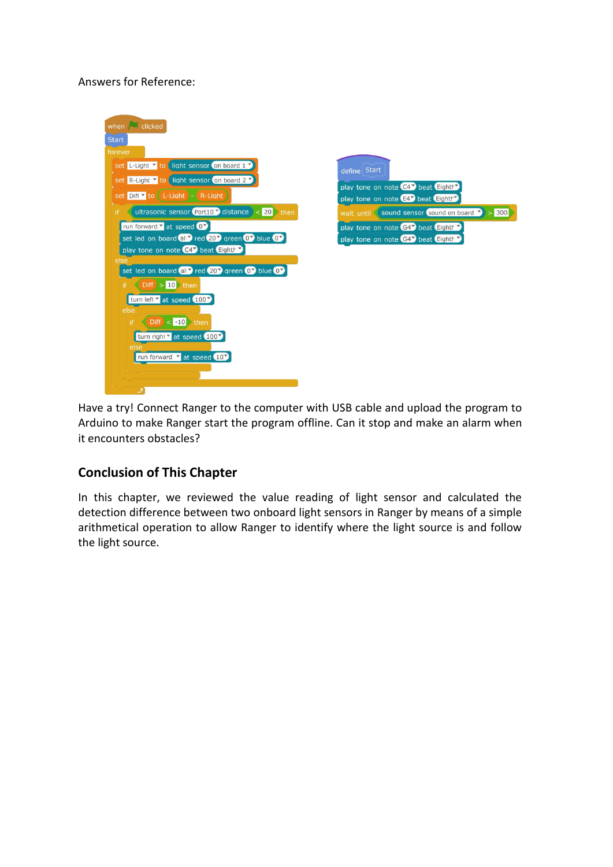Answers for Reference:



Have a try! Connect Ranger to the computer with USB cable and upload the program to Arduino to make Ranger start the program offline. Can it stop and make an alarm when it encounters obstacles?

#### **Conclusion of This Chapter**

In this chapter, we reviewed the value reading of light sensor and calculated the detection difference between two onboard light sensors in Ranger by means of a simple arithmetical operation to allow Ranger to identify where the light source is and follow the light source.